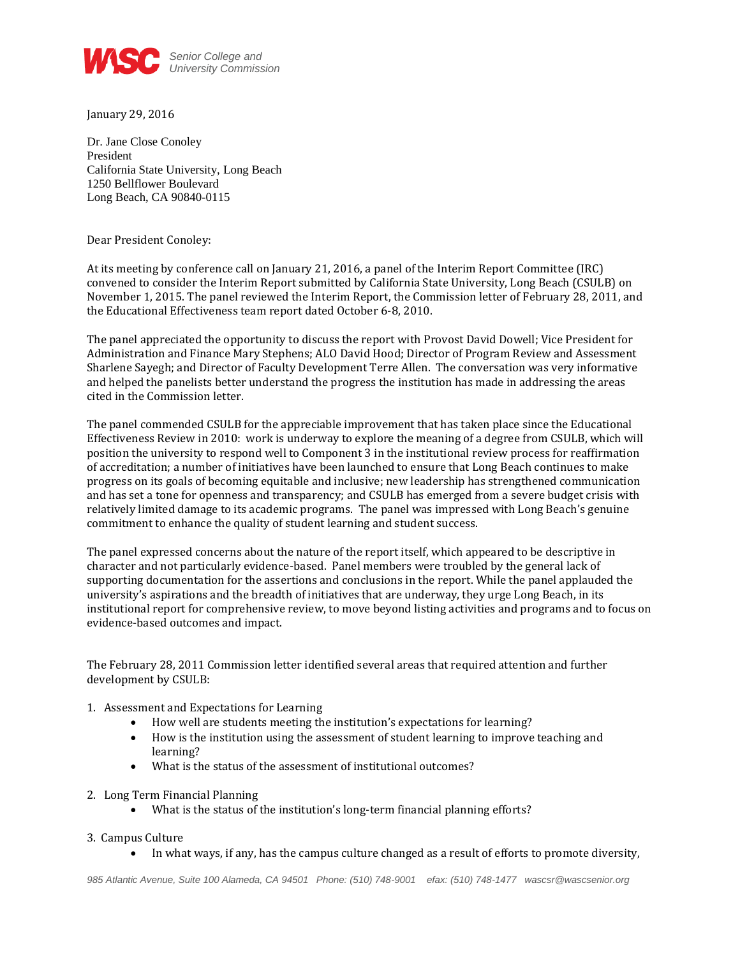

January 29, 2016

Dr. Jane Close Conoley President California State University, Long Beach 1250 Bellflower Boulevard Long Beach, CA 90840-0115

Dear President Conoley:

At its meeting by conference call on January 21, 2016, a panel of the Interim Report Committee (IRC) convened to consider the Interim Report submitted by California State University, Long Beach (CSULB) on November 1, 2015. The panel reviewed the Interim Report, the Commission letter of February 28, 2011, and the Educational Effectiveness team report dated October 6-8, 2010.

The panel appreciated the opportunity to discuss the report with Provost David Dowell; Vice President for Administration and Finance Mary Stephens; ALO David Hood; Director of Program Review and Assessment Sharlene Sayegh; and Director of Faculty Development Terre Allen. The conversation was very informative and helped the panelists better understand the progress the institution has made in addressing the areas cited in the Commission letter.

The panel commended CSULB for the appreciable improvement that has taken place since the Educational Effectiveness Review in 2010: work is underway to explore the meaning of a degree from CSULB, which will position the university to respond well to Component 3 in the institutional review process for reaffirmation of accreditation; a number of initiatives have been launched to ensure that Long Beach continues to make progress on its goals of becoming equitable and inclusive; new leadership has strengthened communication and has set a tone for openness and transparency; and CSULB has emerged from a severe budget crisis with relatively limited damage to its academic programs. The panel was impressed with Long Beach's genuine commitment to enhance the quality of student learning and student success.

The panel expressed concerns about the nature of the report itself, which appeared to be descriptive in character and not particularly evidence-based. Panel members were troubled by the general lack of supporting documentation for the assertions and conclusions in the report. While the panel applauded the university's aspirations and the breadth of initiatives that are underway, they urge Long Beach, in its institutional report for comprehensive review, to move beyond listing activities and programs and to focus on evidence-based outcomes and impact.

The February 28, 2011 Commission letter identified several areas that required attention and further development by CSULB:

## 1. Assessment and Expectations for Learning

- How well are students meeting the institution's expectations for learning?
- How is the institution using the assessment of student learning to improve teaching and learning?
- What is the status of the assessment of institutional outcomes?
- 2. Long Term Financial Planning
	- What is the status of the institution's long-term financial planning efforts?

## 3. Campus Culture

In what ways, if any, has the campus culture changed as a result of efforts to promote diversity,

*985 Atlantic Avenue, Suite 100 Alameda, CA 94501 Phone: (510) 748-9001 efax: (510) 748-1477 wascsr@wascsenior.org*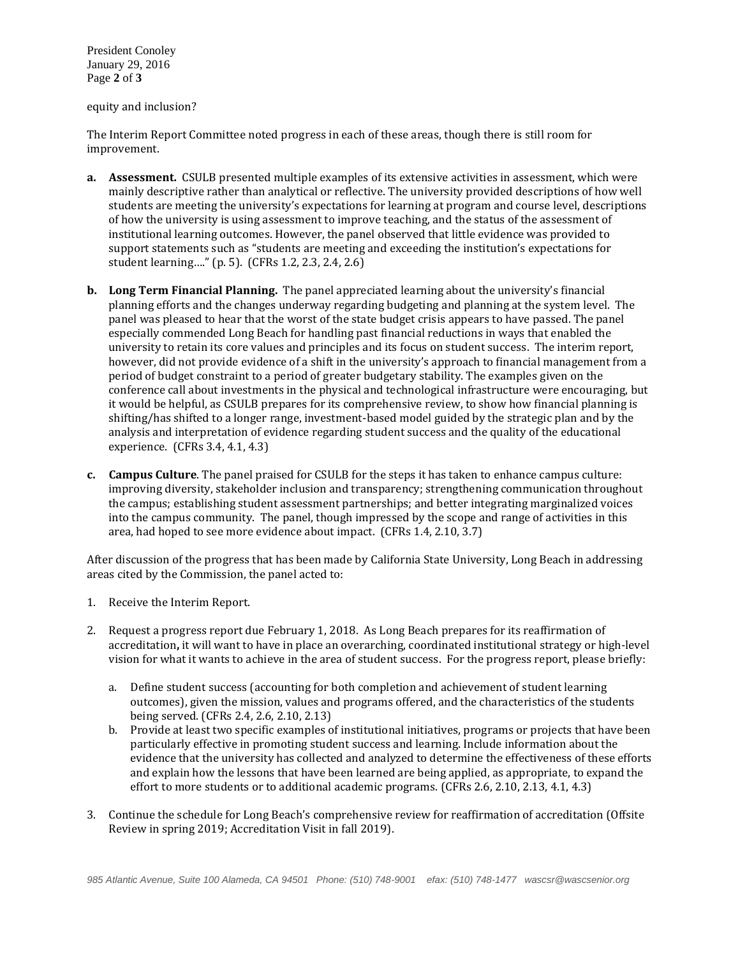President Conoley January 29, 2016 Page **2** of **3**

equity and inclusion?

The Interim Report Committee noted progress in each of these areas, though there is still room for improvement.

- **a. Assessment.** CSULB presented multiple examples of its extensive activities in assessment, which were mainly descriptive rather than analytical or reflective. The university provided descriptions of how well students are meeting the university's expectations for learning at program and course level, descriptions of how the university is using assessment to improve teaching, and the status of the assessment of institutional learning outcomes. However, the panel observed that little evidence was provided to support statements such as "students are meeting and exceeding the institution's expectations for student learning…." (p. 5). (CFRs 1.2, 2.3, 2.4, 2.6)
- **b. Long Term Financial Planning.** The panel appreciated learning about the university's financial planning efforts and the changes underway regarding budgeting and planning at the system level. The panel was pleased to hear that the worst of the state budget crisis appears to have passed. The panel especially commended Long Beach for handling past financial reductions in ways that enabled the university to retain its core values and principles and its focus on student success. The interim report, however, did not provide evidence of a shift in the university's approach to financial management from a period of budget constraint to a period of greater budgetary stability. The examples given on the conference call about investments in the physical and technological infrastructure were encouraging, but it would be helpful, as CSULB prepares for its comprehensive review, to show how financial planning is shifting/has shifted to a longer range, investment-based model guided by the strategic plan and by the analysis and interpretation of evidence regarding student success and the quality of the educational experience. (CFRs 3.4, 4.1, 4.3)
- **c. Campus Culture**. The panel praised for CSULB for the steps it has taken to enhance campus culture: improving diversity, stakeholder inclusion and transparency; strengthening communication throughout the campus; establishing student assessment partnerships; and better integrating marginalized voices into the campus community. The panel, though impressed by the scope and range of activities in this area, had hoped to see more evidence about impact. (CFRs 1.4, 2.10, 3.7)

After discussion of the progress that has been made by California State University, Long Beach in addressing areas cited by the Commission, the panel acted to:

- 1. Receive the Interim Report.
- 2. Request a progress report due February 1, 2018. As Long Beach prepares for its reaffirmation of accreditation**,** it will want to have in place an overarching, coordinated institutional strategy or high-level vision for what it wants to achieve in the area of student success. For the progress report, please briefly:
	- a. Define student success (accounting for both completion and achievement of student learning outcomes), given the mission, values and programs offered, and the characteristics of the students being served. (CFRs 2.4, 2.6, 2.10, 2.13)
	- b. Provide at least two specific examples of institutional initiatives, programs or projects that have been particularly effective in promoting student success and learning. Include information about the evidence that the university has collected and analyzed to determine the effectiveness of these efforts and explain how the lessons that have been learned are being applied, as appropriate, to expand the effort to more students or to additional academic programs. (CFRs 2.6, 2.10, 2.13, 4.1, 4.3)
- 3. Continue the schedule for Long Beach's comprehensive review for reaffirmation of accreditation (Offsite Review in spring 2019; Accreditation Visit in fall 2019).